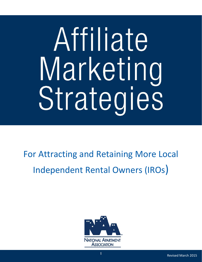# For Attracting and Retaining More Local Independent Rental Owners (IROs)

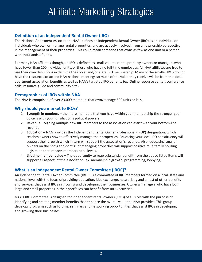#### **Definition of an Independent Rental Owner (IRO)**

The National Apartment Association (NAA) defines an Independent Rental Owner (IRO) as an individual or individuals who own or manage rental properties, and are actively involved, from an ownership perspective, in the management of their properties. This could mean someone that owns as few as one unit or a person with thousands of units.

For many NAA affiliates though, an IRO is defined as small-volume rental property owners or managers who have fewer than 100 individual units, or those who have no full‐time employees. All NAA affiliates are free to use their own definitions in defining their local and/or state IRO membership. Many of the smaller IROs do not have the resources to attend NAA national meetings so much of the value they receive will be from the local apartment association benefits as well as NAA's targeted IRO benefits (ex. Online resource center, conference calls, resource guide and community site).

#### **Demographics of IROs within NAA**

The NAA is comprised of over 23,000 members that own/manage 500 units or less.

#### **Why should you market to IROs?**

- 1. **Strength in numbers** the more members that you have within your membership the stronger your voice is with your jurisdiction's political powers.
- 2. **Revenue –** Signing multiple new IRO members to the association can assist with your bottom‐line revenue.
- 3. **Education –** NAA provides the Independent Rental Owner Professional (IROP) designation, which teaches owners how to effectively manage their properties. Educating your local IRO constituency will support their growth which in turn will support the association's revenue. Also, educating smaller owners on the "do's and dont's" of managing properties will support positive multifamily housing legislation that impacts members at all levels.
- 4. **Lifetime member value –** The opportunity to reap substantial benefit from the above listed items will support all aspects of the association (ex. membership growth, programming, lobbying).

#### **What is an Independent Rental Owner Committee (IROC)?**

An Independent Rental Owner Committee (IROC) is a committee of IRO members formed on a local, state and national level with the focus of providing education, idea exchange, networking and a host of other benefits and services that assist IROs in growing and developing their businesses. Owners/managers who have both large and small properties in their portfolios can benefit from IROC activities.

NAA's IRO Committee is designed for independent rental owners (IROs) of all sizes with the purpose of identifying and creating member benefits that enhance the overall value the NAA provides. This group develops programs such as forums, seminars and networking opportunities that assist IROs in developing and growing their businesses.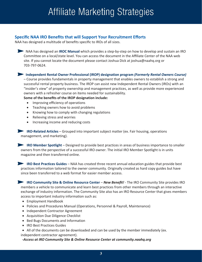#### **Specific NAA IRO Benefits that will Support Your Recruitment Efforts**

NAA has designed a multitude of benefits specific to IROs of all sizes.

**NAA has designed an <b>IROC** Manual which provides a step-by-step on how to develop and sustain an IRO Committee on a local/state level. You can access the document in the Affiliate Center of the NAA web site. If you cannot locate the document please contact Joshua Dick at joshua@naahq.org or 703‐797‐0624.

**Independent Rental Owner Professional (IROP) designation program** *(Formerly Rental Owners Course)*

– Course provides fundamentals in property management that enables owners to establish a strong and successful rental property business. The IROP can assist new Independent Rental Owners (IROs) with an "insider's view" of property ownership and management practices, as well as provide more experienced owners with a refresher course on items needed for sustainability.

**Some of the benefits of the IROP designation include:**

- Improving efficiency of operations
- Teaching owners how to avoid problems
- Knowing how to comply with changing regulations
- Relieving stress and worries
- Increasing income and reducing costs

**IRO‐Related Articles** – Grouped into important subject matter (ex. Fair housing, operations management, and marketing).

**IRO Member Spotlight** – Designed to provide best practices in areas of business importance to smaller owners from the perspective of a successful IRO owner. The initial IRO Member Spotlight is in units magazine and then transferred online.

**IRO Best Practices Guides** – NAA has created three recent annual education guides that provide best practices information tailored to the owner community. Originally created as hard copy guides but have since been transferred to a web format for easier member access.

**IRO Community Site & Online Resource Center** – *New Benefit!* ‐ The IRO Community Site provides IRO members a vehicle to communicate and learn best practices from other members through an interactive exchange of industry information. The Community Site also has an IRO Resource Center that gives members access to important industry information such as:

- Employment Handbook
- Policies and Procedures Manual (Operations, Personnel & Payroll, Maintenance)
- Independent Contractor Agreement
- Acquisition Due Diligence Checklist
- Bed Bugs Documents and Information
- IRO Best Practices Guides
- All of the documents can be downloaded and can be used by the member immediately (ex. independent contractor agreement).

*‐Access at IRO Community Site & Online Resource Center at community.naahq.org*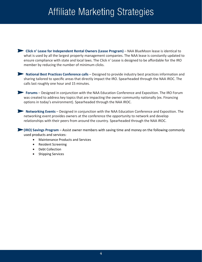**Click n' Lease for Independent Rental Owners (Lease Program)** – NAA BlueMoon lease is identical to what is used by all the largest property management companies. The NAA lease is constantly updated to ensure compliance with state and local laws. The Click n' Lease is designed to be affordable for the IRO member by reducing the number of minimum clicks.

**National Best Practices Conference calls** – Designed to provide industry best practices information and sharing tailored to specific areas that directly impact the IRO. Spearheaded through the NAA IROC. The calls last roughly one hour and 15 minutes.

**Forums** – Designed in conjunction with the NAA Education Conference and Exposition. The IRO Forum was created to address key topics that are impacting the owner community nationally (ex. Financing options in today's environment). Spearheaded through the NAA IROC.

**Networking Events** – Designed in conjunction with the NAA Education Conference and Exposition. The networking event provides owners at the conference the opportunity to network and develop relationships with their peers from around the country. Spearheaded through the NAA IROC.

**(IRO) Savings Program** – Assist owner members with saving time and money on the following commonly used products and services:

- Maintenance Products and Services
- Resident Screening
- Debt Collection
- Shipping Services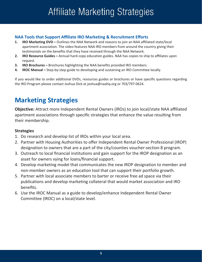#### **NAA Tools that Support Affiliate IRO Marketing & Recruitment Efforts**

- **1. IRO Marketing DVD –** Outlines the NAA Network and reasons to join an NAA affiliated state/local apartment association. The video features NAA IRO members from around the country giving their testimonials on the benefits that they have received through the NAA Network.
- **2. IRO Resource Guides –** Annual hard‐copy education guides. NAA has copies to ship to affiliates upon request.
- **3. IRO Brochures –** Brochures highlighting the NAA benefits provided IRO members.
- **4. IROC Manual –** Step‐by‐step guide to developing and sustaining an IRO Committee locally.

If you would like to order additional DVDs, resources guides or brochures or have specific questions regarding the IRO Program please contact Joshua Dick at joshua@naahq.org or 703/797‐0624.

## **Marketing Strategies**

**Objective:** Attract more Independent Rental Owners (IROs) to join local/state NAA affiliated apartment associations through specific strategies that enhance the value resulting from their membership.

#### **Strategies**

- 1. Do research and develop list of IROs within your local area.
- 2. Partner with Housing Authorities to offer Independent Rental Owner Professional (IROP) designation to owners that are a part of the city/counties voucher‐section 8 program.
- 3. Outreach to local financial institutions and gain support for the IROP designation as an asset for owners vying for loans/financial support.
- 4. Develop marketing model that communicates the new IROP designation to member and non‐member owners as an education tool that can support their portfolio growth.
- 5. Partner with local associate members to barter or receive free ad space via their publications and develop marketing collateral that would market association and IRO benefits.
- 6. Use the IROC Manual as a guide to develop/enhance Independent Rental Owner Committee (IROC) on a local/state level.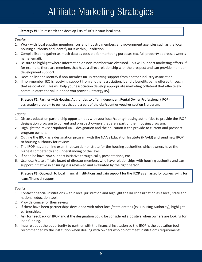**Strategy #1:** Do research and develop lists of IROs in your local area.

#### *Tactics*

- 1. Work with local supplier members, current industry members and government agencies such as the local housing authority and identify IROs within jurisdiction.
- 2. Compile list and gather as much data as possible for marketing purposes (ex. full property address, owner's name, email).
- 3. Be sure to highlight where information on non‐member was obtained. This will support marketing efforts, if for example, there are members that have a direct relationship with the prospect and can provide member development support.
- 4. Develop list and identify if non-member IRO is receiving support from another industry association.
- 5. If non-member IRO is receiving support from another association, identify benefits being offered through that association. This will help your association develop appropriate marketing collateral that effectively communicates the value‐added you provide (Strategy #5).

**Strategy #2:** Partner with Housing Authorities to offer Independent Rental Owner Professional (IROP) designation program to owners that are a part of the city/counties voucher‐section 8 program.

#### *Tactics*

- 1. Discuss education partnership opportunities with your local/county housing authorities to provide the IROP designation program to current and prospect owners that are a part of their housing program.
- 2. Highlight the revised/updated IROP designation and the education it can provide to current and prospect program owners.
- 3. Outline the IROP as a designation program with the NAA's Education Institute (NAAEI) and send new IROP to housing authority for review.
- 4. The IROP has an online exam that can demonstrate for the housing authorities which owners have the highest competency and understanding of the laws.
- 5. If need be have NAA support initiative through calls, presentations, etc.
- 6. Use local/state affiliate board of director members who have relationships with housing authority and can support initiative in ensuring it is reviewed and evaluated by the right person.

**Strategy #3:** Outreach to local financial institutions and gain support for the IROP as an asset for owners vying for loans/financial support.

#### *Tactics*

- 1. Contact financial institutions within local jurisdiction and highlight the IROP designation as a local, state and national education tool.
- 2. Provide course for their review.
- 3. If there have been partnerships developed with other local/state entities (ex. Housing Authority), highlight partnerships.
- 4. Ask for feedback on IROP and if the designation could be considered a positive when owners are looking for loan funding.
- 5. Inquire about the opportunity to partner with the financial institution so the IROP is the education tool recommended by the institution when dealing with owners who do not meet institution's requirements.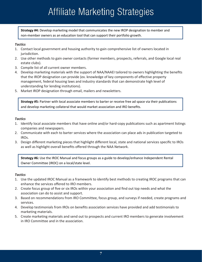**Strategy #4:** Develop marketing model that communicates the new IROP designation to member and non‐member owners as an education tool that can support their portfolio growth.

#### *Tactics*

- 1. Contact local government and housing authority to gain comprehensive list of owners located in jurisdiction.
- 2. Use other methods to gain owner contacts (former members, prospects, referrals, and Google local real estate clubs).
- 3. Compile list of all current owner members.
- 4. Develop marketing materials with the support of NAA/NAAEI tailored to owners highlighting the benefits that the IROP designation can provide (ex. knowledge of key components of effective property management, federal housing laws and industry standards that can demonstrate high level of understanding for lending institutions).
- 5. Market IROP designation through email, mailers and newsletters.

**Strategy #5:** Partner with local associate members to barter or receive free ad space via their publications and develop marketing collateral that would market association and IRO benefits.

#### *Tactics*

- 1. Identify local associate members that have online and/or hard‐copy publications such as apartment listings companies and newspapers.
- 2. Communicate with each to barter services where the association can place ads in publication targeted to IROs.
- 3. Design different marketing pieces that highlight different local, state and national services specific to IROs as well as highlight overall benefits offered through the NAA Network.

**Strategy #6:** Use the IROC Manual and focus groups as a guide to develop/enhance Independent Rental Owner Committee (IROC) on a local/state level.

#### *Tactics*

- 1. Use the updated IROC Manual as a framework to identify best methods to creating IROC programs that can enhance the services offered to IRO members.
- 2. Create focus group of five or six IROs within your association and find out top needs and what the association can do to assist and support.
- 3. Based on recommendations from IRO Committee, focus group, and surveys if needed, create programs and services.
- 4. Develop testimonials from IROs on benefits association services have provided and add testimonials to marketing materials.
- 5. Create marketing materials and send out to prospects and current IRO members to generate involvement in IRO Committee and in the association.